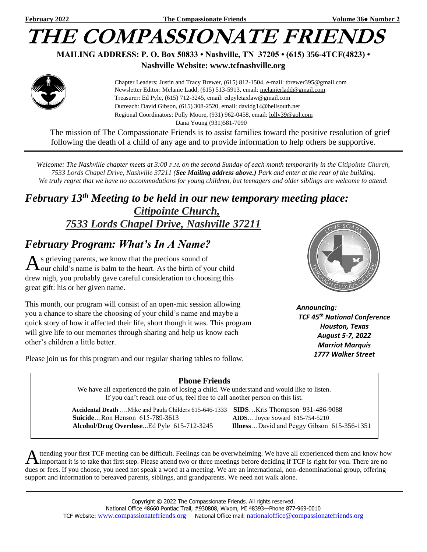## **THE COMPASSIONATE FRIEN**

**MAILING ADDRESS: P. O. Box 50833 • Nashville, TN 37205 • (615) 356-4TCF(4823) •**

## **Nashville Website: www.tcfnashville.org**



 Chapter Leaders: Justin and Tracy Brewer, (615) 812-1504, e-mail: tbrewer395@gmail.com Newsletter Editor: Melanie Ladd, (615) 513-5913, email: [melanierladd@gmail.com](mailto:melanierladd@gmail.com)  Treasurer: Ed Pyle, (615) 712-3245, email[: edpyletaxlaw@gmail.com](mailto:edpyletaxlaw@gmail.com) Outreach: David Gibson, (615) 308-2520, email: davidg14@bellsouth.net Regional Coordinators: Polly Moore, (931) 962-0458, email: [lolly39@aol.com](mailto:lolly39@aol.com) Dana Young (931)581-7090

The mission of The Compassionate Friends is to assist families toward the positive resolution of grief following the death of a child of any age and to provide information to help others be supportive.

*Welcome: The Nashville chapter meets at 3:00 P.M. on the second Sunday of each month temporarily in the Citipointe Church, 7533 Lords Chapel Drive, Nashville 37211 (See Mailing address above.) Park and enter at the rear of the building. We truly regret that we have no accommodations for young children, but teenagers and older siblings are welcome to attend.*

## *February 13 th Meeting to be held in our new temporary meeting place: Citipointe Church, 7533 Lords Chapel Drive, Nashville 37211*

## *February Program: What's In A Name?*

 $A$ s grieving parents, we know that the precious sound of  $A$ our child's name is balm to the heart. As the birth of you our child's name is balm to the heart. As the birth of your child drew nigh, you probably gave careful consideration to choosing this great gift: his or her given name.

This month, our program will consist of an open-mic session allowing you a chance to share the choosing of your child's name and maybe a quick story of how it affected their life, short though it was. This program will give life to our memories through sharing and help us know each other's children a little better.



*Announcing: TCF 45th National Conference Houston, Texas August 5-7, 2022 Marriot Marquis 1777 Walker Street*

Please join us for this program and our regular sharing tables to follow.

## **Phone Friends**

We have all experienced the pain of losing a child. We understand and would like to listen. If you can't reach one of us, feel free to call another person on this list.

 **Accidental Death** ….Mike and Paula Childers 615-646-1333 **SIDS**…Kris Thompson 931-486-9088  **Suicide**…Ron Henson 615-789-3613 **AIDS**… Joyce Soward 615-754-5210  **Alcohol/Drug Overdose**...Ed Pyle 615-712-3245 **Illness**…David and Peggy Gibson 615-356-1351

ttending your first TCF meeting can be difficult. Feelings can be overwhelming. We have all experienced them and know how A ttending your first TCF meeting can be difficult. Feelings can be overwhelming. We have all experienced them and know hove them proportant it is to take that first step. Please attend two or three meetings before decidin dues or fees. If you choose, you need not speak a word at a meeting. We are an international, non-denominational group, offering support and information to bereaved parents, siblings, and grandparents. We need not walk alone.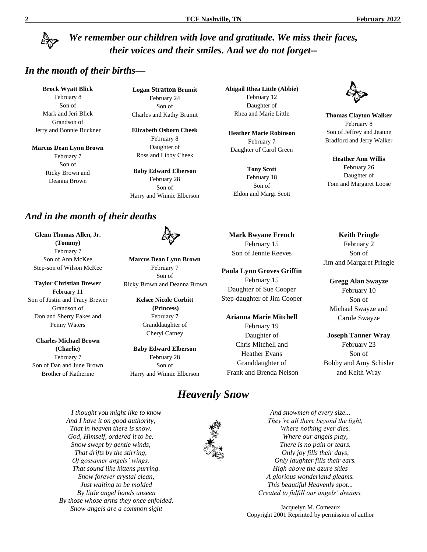## *We remember our children with love and gratitude. We miss their faces, their voices and their smiles. And we do not forget--*

## *In the month of their births—*

**Brock Wyatt Blick** February 8 Son of Mark and Jeri Blick Grandson of Jerry and Bonnie Buckner

**Marcus Dean Lynn Brown** February 7 Son of Ricky Brown and Deanna Brown

**Logan Stratton Brumit** February 24 Son of Charles and Kathy Brumit

**Elizabeth Osborn Cheek** February 8 Daughter of Ross and Libby Cheek

**Baby Edward Elberson** February 28 Son of Harry and Winnie Elberson

## *And in the month of their deaths*

**Glenn Thomas Allen, Jr. (Tommy)** February 7 Son of Ann McKee Step-son of Wilson McKee

**Taylor Christian Brewer** February 11 Son of Justin and Tracy Brewer Grandson of Don and Sherry Eakes and Penny Waters

**Charles Michael Brown (Charlie)** February 7 Son of Dan and June Brown Brother of Katherine

> *I thought you might like to know And I have it on good authority, That in heaven there is snow. God, Himself, ordered it to be. Snow swept by gentle winds, That drifts by the stirring, Of gossamer angels' wings, That sound like kittens purring. Snow forever crystal clean, Just waiting to be molded By little angel hands unseen By those whose arms they once enfolded. Snow angels are a common sight*

**Marcus Dean Lynn Brown** February 7 Son of Ricky Brown and Deanna Brown

> **Kelsee Nicole Corbitt (Princess)** February 7 Granddaughter of Cheryl Carney

**Baby Edward Elberson** February 28 Son of Harry and Winnie Elberson

## *Heavenly Snow*



**Abigail Rhea Little (Abbie)** February 12 Daughter of Rhea and Marie Little

**Heather Marie Robinson** February 7 Daughter of Carol Green

**Tony Scott** February 18 Son of Eldon and Margi Scott



**Paula Lynn Groves Griffin** February 15 Daughter of Sue Cooper Step-daughter of Jim Cooper

**Arianna Marie Mitchell** February 19 Daughter of Chris Mitchell and Heather Evans Granddaughter of Frank and Brenda Nelson



**Thomas Clayton Walker** February 8 Son of Jeffrey and Jeanne Bradford and Jerry Walker

**Heather Ann Willis** February 26 Daughter of Tom and Margaret Loose

**Keith Pringle** February 2 Son of Jim and Margaret Pringle

**Gregg Alan Swayze** February 10 Son of Michael Swayze and Carole Swayze

**Joseph Tanner Wray** February 23 Son of Bobby and Amy Schisler and Keith Wray

*And snowmen of every size... They're all there beyond the light, Where nothing ever dies. Where our angels play, There is no pain or tears. Only joy fills their days, Only laughter fills their ears. High above the azure skies A glorious wonderland gleams. This beautiful Heavenly spot... Created to fulfill our angels' dreams.*

Jacquelyn M. Comeaux Copyright 2001 Reprinted by permission of author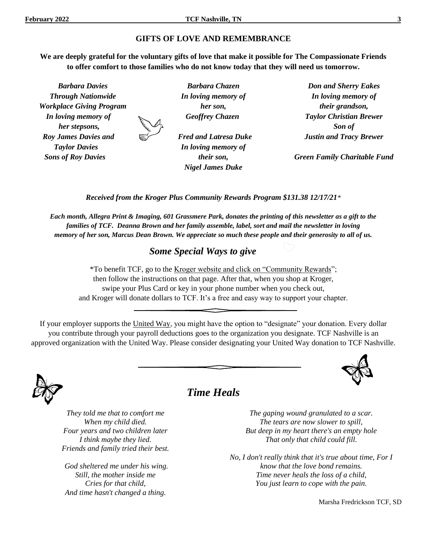## **GIFTS OF LOVE AND REMEMBRANCE**

**We are deeply grateful for the voluntary gifts of love that make it possible for The Compassionate Friends to offer comfort to those families who do not know today that they will need us tomorrow.**

*Barbara Davies Through Nationwide Workplace Giving Program In loving memory of her stepsons, Roy James Davies and Taylor Davies Sons of Roy Davies Barbara Chazen In loving memory of her son, Geoffrey Chazen Fred and Latresa Duke In loving memory of their son, Nigel James Duke Don and Sherry Eakes In loving memory of their grandson, Taylor Christian Brewer Son of Justin and Tracy Brewer Green Family Charitable Fund*

*Received from the Kroger Plus Community Rewards Program \$131.38 12/17/21\**

*Each month, Allegra Print & Imaging, 601 Grassmere Park, donates the printing of this newsletter as a gift to the families of TCF. Deanna Brown and her family assemble, label, sort and mail the newsletter in loving memory of her son, Marcus Dean Brown. We appreciate so much these people and their generosity to all of us.*

## *Some Special Ways to give*

\*To benefit TCF, go to the Kroger website and click on "Community Rewards"; then follow the instructions on that page. After that, when you shop at Kroger, swipe your Plus Card or key in your phone number when you check out, and Kroger will donate dollars to TCF. It's a free and easy way to support your chapter.

If your employer supports the United Way, you might have the option to "designate" your donation. Every dollar you contribute through your payroll deductions goes to the organization you designate. TCF Nashville is an approved organization with the United Way. Please consider designating your United Way donation to TCF Nashville.



## *Time Heals*

*They told me that to comfort me When my child died. Four years and two children later I think maybe they lied. Friends and family tried their best.*

*God sheltered me under his wing. Still, the mother inside me Cries for that child, And time hasn't changed a thing.*

*The gaping wound granulated to a scar. The tears are now slower to spill, But deep in my heart there's an empty hole That only that child could fill.*

*No, I don't really think that it's true about time, For I know that the love bond remains. Time never heals the loss of a child, You just learn to cope with the pain.*

Marsha Fredrickson TCF, SD

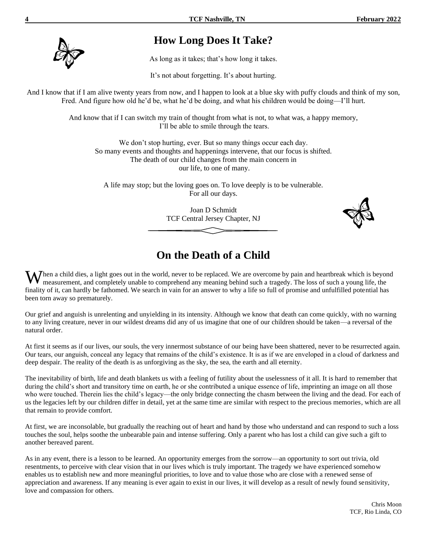

## **How Long Does It Take?**

As long as it takes; that's how long it takes.

It's not about forgetting. It's about hurting.

And I know that if I am alive twenty years from now, and I happen to look at a blue sky with puffy clouds and think of my son, Fred. And figure how old he'd be, what he'd be doing, and what his children would be doing—I'll hurt.

> And know that if I can switch my train of thought from what is not, to what was, a happy memory, I'll be able to smile through the tears.

We don't stop hurting, ever. But so many things occur each day. So many events and thoughts and happenings intervene, that our focus is shifted. The death of our child changes from the main concern in our life, to one of many.

A life may stop; but the loving goes on. To love deeply is to be vulnerable. For all our days.

> Joan D Schmidt TCF Central Jersey Chapter, NJ



## **On the Death of a Child**

When a child dies, a light goes out in the world, never to be replaced. We are overcome by pain and heartbreak which is beyond measurement, and completely unable to comprehend any meaning behind such a tragedy. The loss of measurement, and completely unable to comprehend any meaning behind such a tragedy. The loss of such a young life, the finality of it, can hardly be fathomed. We search in vain for an answer to why a life so full of promise and unfulfilled potential has been torn away so prematurely.

Our grief and anguish is unrelenting and unyielding in its intensity. Although we know that death can come quickly, with no warning to any living creature, never in our wildest dreams did any of us imagine that one of our children should be taken—a reversal of the natural order.

At first it seems as if our lives, our souls, the very innermost substance of our being have been shattered, never to be resurrected again. Our tears, our anguish, conceal any legacy that remains of the child's existence. It is as if we are enveloped in a cloud of darkness and deep despair. The reality of the death is as unforgiving as the sky, the sea, the earth and all eternity.

The inevitability of birth, life and death blankets us with a feeling of futility about the uselessness of it all. It is hard to remember that during the child's short and transitory time on earth, he or she contributed a unique essence of life, imprinting an image on all those who were touched. Therein lies the child's legacy—the only bridge connecting the chasm between the living and the dead. For each of us the legacies left by our children differ in detail, yet at the same time are similar with respect to the precious memories, which are all that remain to provide comfort.

At first, we are inconsolable, but gradually the reaching out of heart and hand by those who understand and can respond to such a loss touches the soul, helps soothe the unbearable pain and intense suffering. Only a parent who has lost a child can give such a gift to another bereaved parent.

As in any event, there is a lesson to be learned. An opportunity emerges from the sorrow—an opportunity to sort out trivia, old resentments, to perceive with clear vision that in our lives which is truly important. The tragedy we have experienced somehow enables us to establish new and more meaningful priorities, to love and to value those who are close with a renewed sense of appreciation and awareness. If any meaning is ever again to exist in our lives, it will develop as a result of newly found sensitivity, love and compassion for others.

> Chris Moon TCF, Rio Linda, CO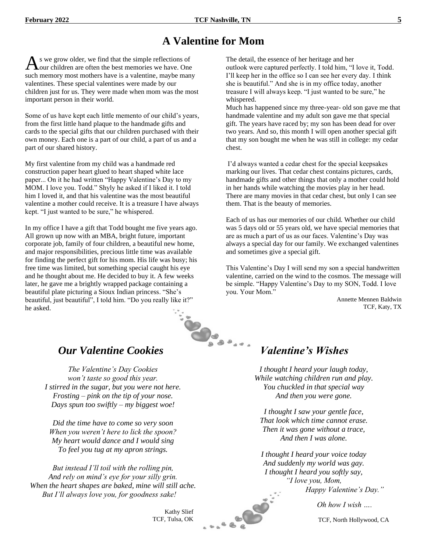## **A Valentine for Mom**

s we grow older, we find that the simple reflections of As we grow older, we find that the simple reflections of our children are often the best memories we have. One such memory most mothers have is a valentine, maybe many valentines. These special valentines were made by our children just for us. They were made when mom was the most important person in their world.

Some of us have kept each little memento of our child's years, from the first little hand plaque to the handmade gifts and cards to the special gifts that our children purchased with their own money. Each one is a part of our child, a part of us and a part of our shared history.

My first valentine from my child was a handmade red construction paper heart glued to heart shaped white lace paper... On it he had written "Happy Valentine's Day to my MOM. I love you. Todd." Shyly he asked if I liked it. I told him I loved it, and that his valentine was the most beautiful valentine a mother could receive. It is a treasure I have always kept. "I just wanted to be sure," he whispered.

In my office I have a gift that Todd bought me five years ago. All grown up now with an MBA, bright future, important corporate job, family of four children, a beautiful new home, and major responsibilities, precious little time was available for finding the perfect gift for his mom. His life was busy; his free time was limited, but something special caught his eye and he thought about me. He decided to buy it. A few weeks later, he gave me a brightly wrapped package containing a beautiful plate picturing a Sioux Indian princess. "She's beautiful, just beautiful", I told him. "Do you really like it?" he asked.



## *Our Valentine Cookies*

*The Valentine's Day Cookies won't taste so good this year. I stirred in the sugar, but you were not here. Frosting – pink on the tip of your nose. Days spun too swiftly – my biggest woe!*

*Did the time have to come so very soon When you weren't here to lick the spoon? My heart would dance and I would sing To feel you tug at my apron strings.*

*But instead I'll toil with the rolling pin, And rely on mind's eye for your silly grin. When the heart shapes are baked, mine will still ache. But I'll always love you, for goodness sake!*

> Kathy Slief TCF, Tulsa, OK

**CONTROLLER** 

The detail, the essence of her heritage and her outlook were captured perfectly. I told him, "I love it, Todd. I'll keep her in the office so I can see her every day. I think she is beautiful." And she is in my office today, another treasure I will always keep. "I just wanted to be sure," he whispered.

Much has happened since my three-year- old son gave me that handmade valentine and my adult son gave me that special gift. The years have raced by; my son has been dead for over two years. And so, this month I will open another special gift that my son bought me when he was still in college: my cedar chest.

I'd always wanted a cedar chest for the special keepsakes marking our lives. That cedar chest contains pictures, cards, handmade gifts and other things that only a mother could hold in her hands while watching the movies play in her head. There are many movies in that cedar chest, but only I can see them. That is the beauty of memories.

Each of us has our memories of our child. Whether our child was 5 days old or 55 years old, we have special memories that are as much a part of us as our faces. Valentine's Day was always a special day for our family. We exchanged valentines and sometimes give a special gift.

This Valentine's Day I will send my son a special handwritten valentine, carried on the wind to the cosmos. The message will be simple. "Happy Valentine's Day to my SON, Todd. I love you. Your Mom."

Annette Mennen Baldwin TCF, Katy, TX

## *Valentine's Wishes*

*I thought I heard your laugh today, While watching children run and play. You chuckled in that special way And then you were gone.*

*I thought I saw your gentle face, That look which time cannot erase. Then it was gone without a trace, And then I was alone.*

*I thought I heard your voice today And suddenly my world was gay. I thought I heard you softly say, "I love you, Mom, Happy Valentine's Day."*

*Oh how I wish ….*

TCF, North Hollywood, CA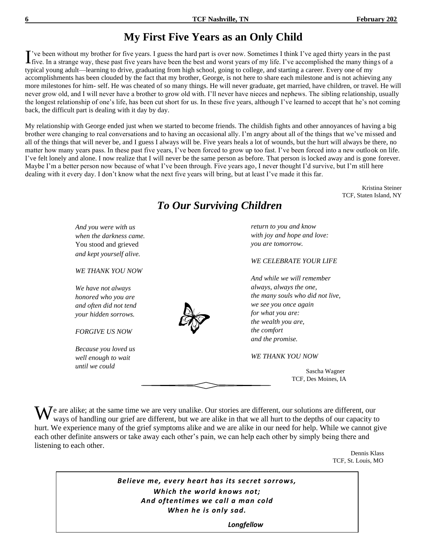## **My First Five Years as an Only Child**

've been without my brother for five years. I guess the hard part is over now. Sometimes I think I've aged thirty years in the past I've been without my brother for five years. I guess the hard part is over now. Sometimes I think I've aged thirty years in the past five. In a strange way, these past five years have been the best and worst years of my li typical young adult—learning to drive, graduating from high school, going to college, and starting a career. Every one of my accomplishments has been clouded by the fact that my brother, George, is not here to share each milestone and is not achieving any more milestones for him- self. He was cheated of so many things. He will never graduate, get married, have children, or travel. He will never grow old, and I will never have a brother to grow old with. I'll never have nieces and nephews. The sibling relationship, usually the longest relationship of one's life, has been cut short for us. In these five years, although I've learned to accept that he's not coming back, the difficult part is dealing with it day by day.

My relationship with George ended just when we started to become friends. The childish fights and other annoyances of having a big brother were changing to real conversations and to having an occasional ally. I'm angry about all of the things that we've missed and all of the things that will never be, and I guess I always will be. Five years heals a lot of wounds, but the hurt will always be there, no matter how many years pass. In these past five years, I've been forced to grow up too fast. I've been forced into a new outlook on life. I've felt lonely and alone. I now realize that I will never be the same person as before. That person is locked away and is gone forever. Maybe I'm a better person now because of what I've been through. Five years ago, I never thought I'd survive, but I'm still here dealing with it every day. I don't know what the next five years will bring, but at least I've made it this far.

> Kristina Steiner TCF, Staten Island, NY



*To Our Surviving Children*

### *WE CELEBRATE YOUR LIFE*

*the many souls who did not live,*

Sascha Wagner TCF, Des Moines, IA

 $\mathbf{W}^\text{e}$  are alike; at the same time we are very unalike. Our stories are different, our solutions are different, our ways of handling our grief are different, but we are alike in that we all hurt to the depths of ou ways of handling our grief are different, but we are alike in that we all hurt to the depths of our capacity to hurt. We experience many of the grief symptoms alike and we are alike in our need for help. While we cannot give each other definite answers or take away each other's pain, we can help each other by simply being there and listening to each other.

Dennis Klass TCF, St. Louis, MO

*Believe me, every heart has its secret sorrows, Which the world knows not; And oftentimes we call a man cold When he is only sad.*

 *Longfellow*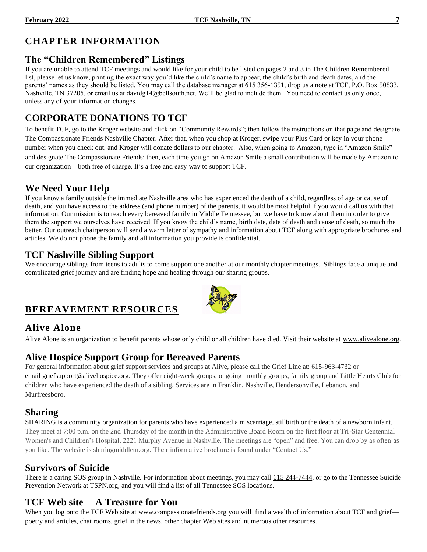## **CHAPTER INFORMATION**

## **The "Children Remembered" Listings**

If you are unable to attend TCF meetings and would like for your child to be listed on pages 2 and 3 in The Children Remembered list, please let us know, printing the exact way you'd like the child's name to appear, the child's birth and death dates, and the parents' names as they should be listed. You may call the database manager at 615 356-1351, drop us a note at TCF, P.O. Box 50833, Nashville, TN 37205, or email us at davidg14@bellsouth.net. We'll be glad to include them. You need to contact us only once, unless any of your information changes.

## **CORPORATE DONATIONS TO TCF**

To benefit TCF, go to the Kroger website and click on "Community Rewards"; then follow the instructions on that page and designate The Compassionate Friends Nashville Chapter. After that, when you shop at Kroger, swipe your Plus Card or key in your phone number when you check out, and Kroger will donate dollars to our chapter. Also, when going to Amazon, type in "Amazon Smile" and designate The Compassionate Friends; then, each time you go on Amazon Smile a small contribution will be made by Amazon to our organization—both free of charge. It's a free and easy way to support TCF.

## **We Need Your Help**

If you know a family outside the immediate Nashville area who has experienced the death of a child, regardless of age or cause of death, and you have access to the address (and phone number) of the parents, it would be most helpful if you would call us with that information. Our mission is to reach every bereaved family in Middle Tennessee, but we have to know about them in order to give them the support we ourselves have received. If you know the child's name, birth date, date of death and cause of death, so much the better. Our outreach chairperson will send a warm letter of sympathy and information about TCF along with appropriate brochures and articles. We do not phone the family and all information you provide is confidential.

## **TCF Nashville Sibling Support**

We encourage siblings from teens to adults to come support one another at our monthly chapter meetings. Siblings face a unique and complicated grief journey and are finding hope and healing through our sharing groups.

## **BEREAVEMENT RESOURCES**

## **Alive Alone**

Alive Alone is an organization to benefit parents whose only child or all children have died. Visit their website at [www.alivealone.org.](http://www.alivealone.org/)

## **Alive Hospice Support Group for Bereaved Parents**

For general information about grief support services and groups at Alive, please call the Grief Line at: 615-963-4732 or email [griefsupport@alivehospice.org.](mailto:griefsupport@alivehospice.org) They offer eight-week groups, ongoing monthly groups, family group and Little Hearts Club for children who have experienced the death of a sibling. Services are in Franklin, Nashville, Hendersonville, Lebanon, and Murfreesboro.

## **Sharing**

SHARING is a community organization for parents who have experienced a miscarriage, stillbirth or the death of a newborn infant. They meet at 7:00 p.m. on the 2nd Thursday of the month in the Administrative Board Room on the first floor at Tri-Star Centennial Women's and Children's Hospital, 2221 Murphy Avenue in Nashville. The meetings are "open" and free. You can drop by as often as you like. The website is sharingmiddletn.org. Their informative brochure is found under "Contact Us."

## **Survivors of Suicide**

There is a caring SOS group in Nashville. For information about meetings, you may call 615 244-7444, or go to the Tennessee Suicide Prevention Network at TSPN.org, and you will find a list of all Tennessee SOS locations.

## **TCF Web site —A Treasure for You**

When you log onto the TCF Web site at [www.compassionatefriends.org](http://www.compassionatefriends.org/) you will find a wealth of information about TCF and grief poetry and articles, chat rooms, grief in the news, other chapter Web sites and numerous other resources.